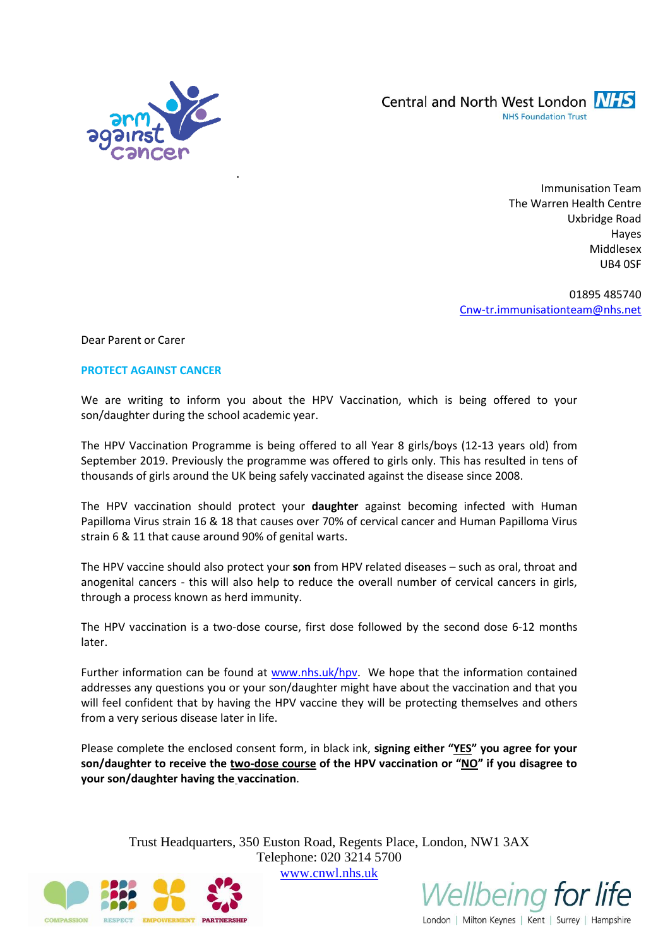

.

Central and North West London NHS NHS Foundation Trust

> Immunisation Team The Warren Health Centre Uxbridge Road Hayes Middlesex UB4 0SF

01895 485740 [Cnw-tr.immunisationteam@nhs.net](mailto:Cnw-tr.immunisationteam@nhs.net)

Dear Parent or Carer

## **PROTECT AGAINST CANCER**

We are writing to inform you about the HPV Vaccination, which is being offered to your son/daughter during the school academic year.

The HPV Vaccination Programme is being offered to all Year 8 girls/boys (12-13 years old) from September 2019. Previously the programme was offered to girls only. This has resulted in tens of thousands of girls around the UK being safely vaccinated against the disease since 2008.

The HPV vaccination should protect your **daughter** against becoming infected with Human Papilloma Virus strain 16 & 18 that causes over 70% of cervical cancer and Human Papilloma Virus strain 6 & 11 that cause around 90% of genital warts.

The HPV vaccine should also protect your **son** from HPV related diseases – such as oral, throat and anogenital cancers - this will also help to reduce the overall number of cervical cancers in girls, through a process known as herd immunity.

The HPV vaccination is a two-dose course, first dose followed by the second dose 6-12 months later.

Further information can be found at [www.nhs.uk/hpv.](http://www.nhs.uk/hpv) We hope that the information contained addresses any questions you or your son/daughter might have about the vaccination and that you will feel confident that by having the HPV vaccine they will be protecting themselves and others from a very serious disease later in life.

Please complete the enclosed consent form, in black ink, **signing either "YES" you agree for your son/daughter to receive the two-dose course of the HPV vaccination or "NO" if you disagree to your son/daughter having the vaccination**.

Trust Headquarters, 350 Euston Road, Regents Place, London, NW1 3AX Telephone: 020 3214 5700

[www.cnwl.nhs.uk](http://www.cnwl.nhs.uk/)





London | Milton Keynes | Kent | Surrey | Hampshire